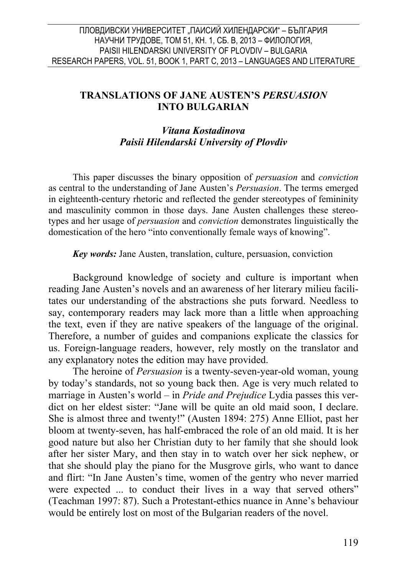## ПЛОВДИВСКИ УНИВЕРСИТЕТ "ПАИСИЙ ХИЛЕНДАРСКИ" – БЪЛГАРИЯ НАУЧНИ ТРУДОВЕ, ТОМ 51, КН. 1, СБ. В, 2013 – ФИЛОЛОГИЯ, PAISII HILENDARSKI UNIVERSITY OF PLOVDIV – BULGARIA RESEARCH PAPERS, VOL. 51, BOOK 1, PART C, 2013 – LANGUAGES AND LITERATURE

## **TRANSLATIONS OF JANE AUSTEN'S** *PERSUASION* **INTO BULGARIAN**

## *Vitana Kostadinova Paisii Hilendarski University of Plovdiv*

This paper discusses the binary opposition of *persuasion* and *conviction* as central to the understanding of Jane Austen's *Persuasion*. The terms emerged in eighteenth-century rhetoric and reflected the gender stereotypes of femininity and masculinity common in those days. Jane Austen challenges these stereotypes and her usage of *persuasion* and *conviction* demonstrates linguistically the domestication of the hero "into conventionally female ways of knowing".

*Key words:* Jane Austen, translation, culture, persuasion, conviction

Background knowledge of society and culture is important when reading Jane Austen's novels and an awareness of her literary milieu facilitates our understanding of the abstractions she puts forward. Needless to say, contemporary readers may lack more than a little when approaching the text, even if they are native speakers of the language of the original. Therefore, a number of guides and companions explicate the classics for us. Foreign-language readers, however, rely mostly on the translator and any explanatory notes the edition may have provided.

The heroine of *Persuasion* is a twenty-seven-year-old woman, young by today's standards, not so young back then. Age is very much related to marriage in Austen's world – in *Pride and Prejudice* Lydia passes this verdict on her eldest sister: "Jane will be quite an old maid soon, I declare. She is almost three and twenty!" (Austen 1894: 275) Anne Elliot, past her bloom at twenty-seven, has half-embraced the role of an old maid. It is her good nature but also her Christian duty to her family that she should look after her sister Mary, and then stay in to watch over her sick nephew, or that she should play the piano for the Musgrove girls, who want to dance and flirt: "In Jane Austen's time, women of the gentry who never married were expected ... to conduct their lives in a way that served others" (Teachman 1997: 87). Such a Protestant-ethics nuance in Anne's behaviour would be entirely lost on most of the Bulgarian readers of the novel.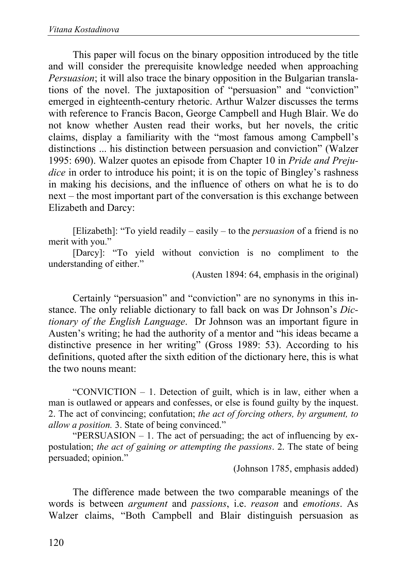This paper will focus on the binary opposition introduced by the title and will consider the prerequisite knowledge needed when approaching *Persuasion*; it will also trace the binary opposition in the Bulgarian translations of the novel. The juxtaposition of "persuasion" and "conviction" emerged in eighteenth-century rhetoric. Arthur Walzer discusses the terms with reference to Francis Bacon, George Campbell and Hugh Blair. We do not know whether Austen read their works, but her novels, the critic claims, display a familiarity with the "most famous among Campbell's distinctions ... his distinction between persuasion and conviction" (Walzer 1995: 690). Walzer quotes an episode from Chapter 10 in *Pride and Prejudice* in order to introduce his point; it is on the topic of Bingley's rashness in making his decisions, and the influence of others on what he is to do next – the most important part of the conversation is this exchange between Elizabeth and Darcy:

[Elizabeth]: "To yield readily – easily – to the *persuasion* of a friend is no merit with you."

[Darcy]: "To yield without conviction is no compliment to the understanding of either."

(Austen 1894: 64, emphasis in the original)

Certainly "persuasion" and "conviction" are no synonyms in this instance. The only reliable dictionary to fall back on was Dr Johnson's *Dictionary of the English Language*. Dr Johnson was an important figure in Austen's writing; he had the authority of a mentor and "his ideas became a distinctive presence in her writing" (Gross 1989: 53). According to his definitions, quoted after the sixth edition of the dictionary here, this is what the two nouns meant:

"CONVICTION – 1. Detection of guilt, which is in law, either when a man is outlawed or appears and confesses, or else is found guilty by the inquest. 2. The act of convincing; confutation; *the act of forcing others, by argument, to allow a position.* 3. State of being convinced."

"PERSUASION  $-1$ . The act of persuading; the act of influencing by expostulation; *the act of gaining or attempting the passions*. 2. The state of being persuaded; opinion."

(Johnson 1785, emphasis added)

The difference made between the two comparable meanings of the words is between *argument* and *passions*, i.e. *reason* and *emotions*. As Walzer claims, "Both Campbell and Blair distinguish persuasion as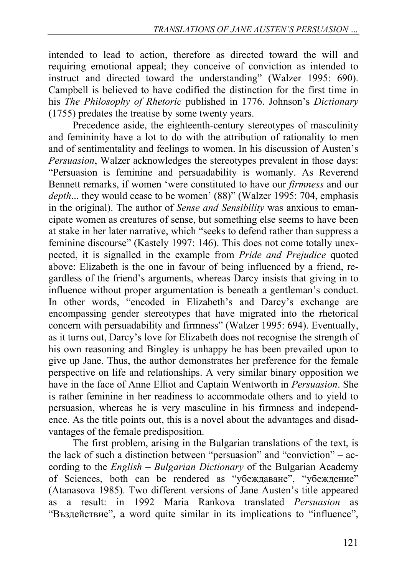intended to lead to action, therefore as directed toward the will and requiring emotional appeal; they conceive of conviction as intended to instruct and directed toward the understanding" (Walzer 1995: 690). Campbell is believed to have codified the distinction for the first time in his *The Philosophy of Rhetoric* published in 1776. Johnson's *Dictionary* (1755) predates the treatise by some twenty years.

Precedence aside, the eighteenth-century stereotypes of masculinity and femininity have a lot to do with the attribution of rationality to men and of sentimentality and feelings to women. In his discussion of Austen's *Persuasion*, Walzer acknowledges the stereotypes prevalent in those days: "Persuasion is feminine and persuadability is womanly. As Reverend Bennett remarks, if women 'were constituted to have our *firmness* and our *depth*... they would cease to be women' (88)" (Walzer 1995: 704, emphasis in the original). The author of *Sense and Sensibility* was anxious to emancipate women as creatures of sense, but something else seems to have been at stake in her later narrative, which "seeks to defend rather than suppress a feminine discourse" (Kastely 1997: 146). This does not come totally unexpected, it is signalled in the example from *Pride and Prejudice* quoted above: Elizabeth is the one in favour of being influenced by a friend, regardless of the friend's arguments, whereas Darcy insists that giving in to influence without proper argumentation is beneath a gentleman's conduct. In other words, "encoded in Elizabeth's and Darcy's exchange are encompassing gender stereotypes that have migrated into the rhetorical concern with persuadability and firmness" (Walzer 1995: 694). Eventually, as it turns out, Darcy's love for Elizabeth does not recognise the strength of his own reasoning and Bingley is unhappy he has been prevailed upon to give up Jane. Thus, the author demonstrates her preference for the female perspective on life and relationships. A very similar binary opposition we have in the face of Anne Elliot and Captain Wentworth in *Persuasion*. She is rather feminine in her readiness to accommodate others and to yield to persuasion, whereas he is very masculine in his firmness and independence. As the title points out, this is a novel about the advantages and disadvantages of the female predisposition.

The first problem, arising in the Bulgarian translations of the text, is the lack of such a distinction between "persuasion" and "conviction" – according to the *English – Bulgarian Dictionary* of the Bulgarian Academy of Sciences, both can be rendered as "убеждаване", "убеждение" (Atanasova 1985). Two different versions of Jane Austen's title appeared as a result: in 1992 Maria Rankova translated *Persuasion* as "Въздействие", a word quite similar in its implications to "influence",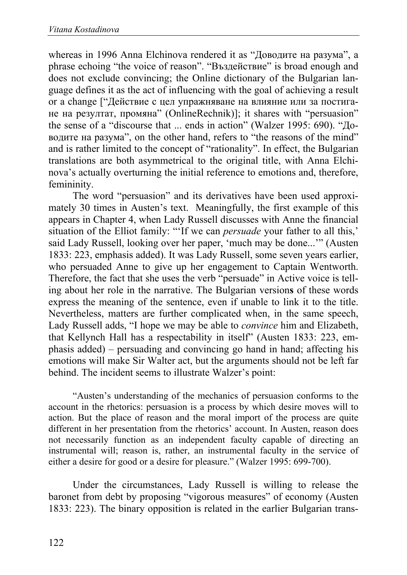whereas in 1996 Anna Elchinova rendered it as "Доводите на разума", a phrase echoing "the voice of reason". "Въздействие" is broad enough and does not exclude convincing; the Online dictionary of the Bulgarian language defines it as the act of influencing with the goal of achieving a result or a change ["Действие с цел упражняване на влияние или за постигане на резултат, промяна" (OnlineRechnik)]; it shares with "persuasion" the sense of a "discourse that ... ends in action" (Walzer 1995: 690). "Доводите на разума", on the other hand, refers to "the reasons of the mind" and is rather limited to the concept of "rationality". In effect, the Bulgarian translations are both asymmetrical to the original title, with Anna Elchinova's actually overturning the initial reference to emotions and, therefore, femininity.

The word "persuasion" and its derivatives have been used approximately 30 times in Austen's text. Meaningfully, the first example of this appears in Chapter 4, when Lady Russell discusses with Annе the financial situation of the Elliot family: "'If we can *persuade* your father to all this,' said Lady Russell, looking over her paper, 'much may be done...'" (Austen 1833: 223, emphasis added). It was Lady Russell, some seven years earlier, who persuaded Anne to give up her engagement to Captain Wentworth. Therefore, the fact that she uses the verb "persuade" in Active voice is telling about her role in the narrative. The Bulgarian version**s** of these words express the meaning of the sentence, even if unable to link it to the title. Nevertheless, matters are further complicated when, in the same speech, Lady Russell adds, "I hope we may be able to *convince* him and Elizabeth, that Kellynch Hall has a respectability in itself" (Austen 1833: 223, emphasis added) – persuading and convincing go hand in hand; affecting his emotions will make Sir Walter act, but the arguments should not be left far behind. The incident seems to illustrate Walzer's point:

"Austen's understanding of the mechanics of persuasion conforms to the account in the rhetorics: persuasion is a process by which desire moves will to action. But the place of reason and the moral import of the process are quite different in her presentation from the rhetorics' account. In Austen, reason does not necessarily function as an independent faculty capable of directing an instrumental will; reason is, rather, an instrumental faculty in the service of either a desire for good or a desire for pleasure." (Walzer 1995: 699-700).

Under the circumstances, Lady Russell is willing to release the baronet from debt by proposing "vigorous measures" of economy (Austen 1833: 223). The binary opposition is related in the earlier Bulgarian trans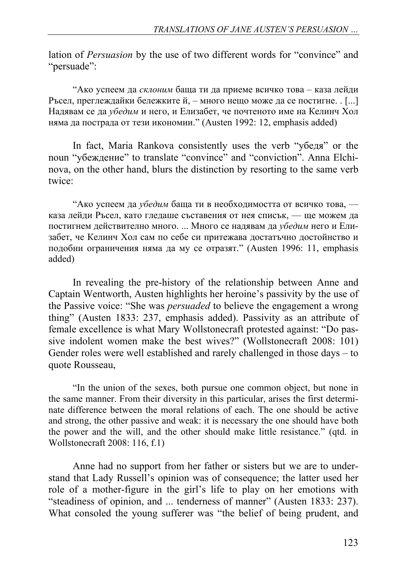lation of *Persuasion* by the use of two different words for "convince" and "persuade":

"Ако успеем да *склоним* баща ти да приеме всичко това – каза лейди Ръсел, преглеждайки бележките й, – много нещо може да се постигне. . [...] Надявам се да *убедим* и него, и Елизабет, че почтеното име на Келинч Хол няма да пострада от тези икономии." (Austen 1992: 12, emphasis added)

In fact, Maria Rankova consistently uses the verb "убедя" or the noun "убеждение" to translate "convince" and "conviction". Anna Elchinova, on the other hand, blurs the distinction by resorting to the same verb twice:

"Ако успеем да *убедим* баща ти в необходимостта от всичко това, каза лейди Ръсел, като гледаше съставения от нея списък, — ще можем да постигнем действително много. ... Много се надявам да *убедим* него и Елизабет, че Келинч Хол сам по себе си притежава достатъчно достойнство и подобни ограничения няма да му се отразят." (Austen 1996: 11, emphasis added)

In revealing the pre-history of the relationship between Anne and Captain Wentworth, Austen highlights her heroine's passivity by the use of the Passive voice: "She was *persuaded* to believe the engagement a wrong thing" (Austen 1833: 237, emphasis added). Passivity as an attribute of female excellence is what Mary Wollstonecraft protested against: "Do passive indolent women make the best wives?" (Wollstonecraft 2008: 101) Gender roles were well established and rarely challenged in those days – to quote Rousseau,

"In the union of the sexes, both pursue one common object, but none in the same manner. From their diversity in this particular, arises the first determinate difference between the moral relations of each. The one should be active and strong, the other passive and weak: it is necessary the one should have both the power and the will, and the other should make little resistance." (qtd. in Wollstonecraft 2008: 116, f.1)

Anne had no support from her father or sisters but we are to understand that Lady Russell's opinion was of consequence; the latter used her role of a mother-figure in the girl's life to play on her emotions with "steadiness of opinion, and ... tenderness of manner" (Austen 1833: 237). What consoled the young sufferer was "the belief of being prudent, and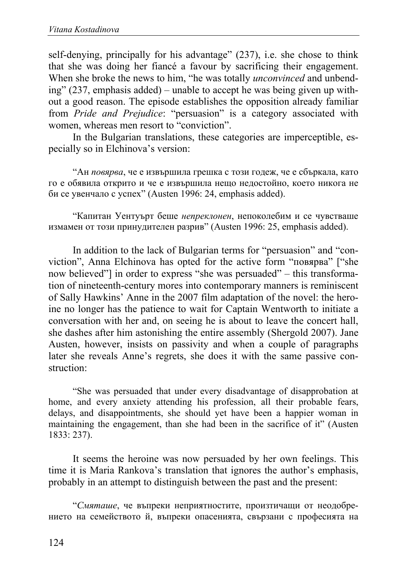self-denying, principally for his advantage" (237), i.e. she chose to think that she was doing her fiancé a favour by sacrificing their engagement. When she broke the news to him, "he was totally *unconvinced* and unbending" (237, emphasis added) – unable to accept he was being given up without a good reason. The episode establishes the opposition already familiar from *Pride and Prejudice*: "persuasion" is a category associated with women, whereas men resort to "conviction".

In the Bulgarian translations, these categories are imperceptible, especially so in Elchinova's version:

"Ан *повярва*, че е извършила грешка с този годеж, че е сбъркала, като го е обявила открито и че е извършила нещо недостойно, което никога не би се увенчало с успех" (Austen 1996: 24, emphasis added).

"Капитан Уентуърт беше *непреклонен*, непоколебим и се чувстваше измамен от този принудителен разрив" (Austen 1996: 25, emphasis added).

In addition to the lack of Bulgarian terms for "persuasion" and "conviction", Anna Elchinova has opted for the active form "повярва" ["she now believed"] in order to express "she was persuaded" – this transformation of nineteenth-century mores into contemporary manners is reminiscent of Sally Hawkins' Annе in the 2007 film adaptation of the novel: the heroine no longer has the patience to wait for Captain Wentworth to initiate a conversation with her and, on seeing he is about to leave the concert hall, she dashes after him astonishing the entire assembly (Shergold 2007). Jane Austen, however, insists on passivity and when a couple of paragraphs later she reveals Annе's regrets, she does it with the same passive construction:

"She was persuaded that under every disadvantage of disapprobation at home, and every anxiety attending his profession, all their probable fears, delays, and disappointments, she should yet have been a happier woman in maintaining the engagement, than she had been in the sacrifice of it" (Austen 1833: 237).

It seems the heroine was now persuaded by her own feelings. This time it is Maria Rankova's translation that ignores the author's emphasis, probably in an attempt to distinguish between the past and the present:

"*Смяташе*, че въпреки неприятностите, произтичащи от неодобрението на семейството й, въпреки опасенията, свързани с професията на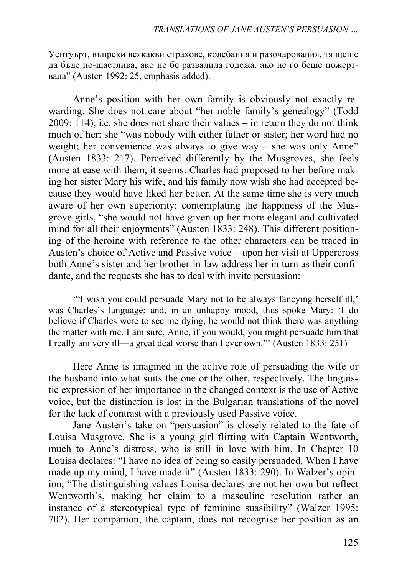Уентуърт, въпреки всякакви страхове, колебания и разочарования, тя щеше да бъде по-щастлива, ако не бе развалила годежа, ако не го беше пожертвала" (Austen 1992: 25, emphasis added).

Anne's position with her own family is obviously not exactly rewarding. She does not care about "her noble family's genealogy" (Todd 2009: 114), i.e. she does not share their values – in return they do not think much of her: she "was nobody with either father or sister; her word had no weight; her convenience was always to give way – she was only Anne" (Austen 1833: 217). Perceived differently by the Musgroves, she feels more at ease with them, it seems: Charles had proposed to her before making her sister Mary his wife, and his family now wish she had accepted because they would have liked her better. At the same time she is very much aware of her own superiority: contemplating the happiness of the Musgrove girls, "she would not have given up her more elegant and cultivated mind for all their enjoyments" (Austen 1833: 248). This different positioning of the heroine with reference to the other characters can be traced in Austen's choice of Active and Passive voice – upon her visit at Uppercross both Anne's sister and her brother-in-law address her in turn as their confidante, and the requests she has to deal with invite persuasion:

'"I wish you could persuade Mary not to be always fancying herself ill,' was Charles's language; and, in an unhappy mood, thus spoke Mary: 'I do believe if Charles were to see me dying, he would not think there was anything the matter with me. I am sure, Anne, if you would, you might persuade him that I really am very ill—a great deal worse than I ever own."' (Austen 1833: 251)

Here Anne is imagined in the active role of persuading the wife or the husband into what suits the one or the other, respectively. The linguistic expression of her importance in the changed context is the use of Active voice, but the distinction is lost in the Bulgarian translations of the novel for the lack of contrast with a previously used Passive voice.

Jane Austen's take on "persuasion" is closely related to the fate of Louisa Musgrove. She is a young girl flirting with Captain Wentworth, much to Anne's distress, who is still in love with him. In Chapter 10 Louisa declares: "I have no idea of being so easily persuaded. When I have made up my mind, I have made it" (Austen 1833: 290). In Walzer's opinion, "The distinguishing values Louisa declares are not her own but reflect Wentworth's, making her claim to a masculine resolution rather an instance of a stereotypical type of feminine suasibility" (Walzer 1995: 702). Her companion, the captain, does not recognise her position as an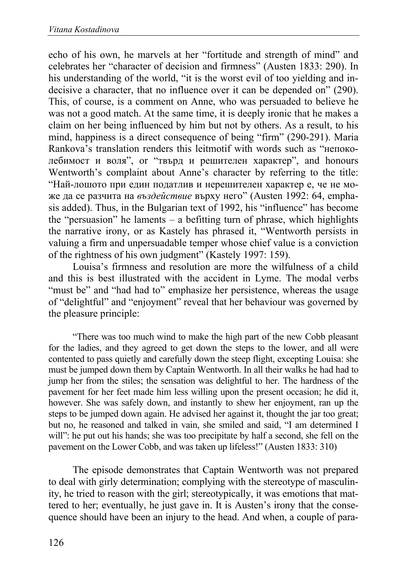echo of his own, he marvels at her "fortitude and strength of mind" and celebrates her "character of decision and firmness" (Austen 1833: 290). In his understanding of the world, "it is the worst evil of too yielding and indecisive a character, that no influence over it can be depended on" (290). This, of course, is a comment on Anne, who was persuaded to believe he was not a good match. At the same time, it is deeply ironic that he makes a claim on her being influenced by him but not by others. As a result, to his mind, happiness is a direct consequence of being "firm" (290-291). Maria Rankova's translation renders this leitmotif with words such as "непоколебимост и воля", or "твърд и решителен характер", and honours Wentworth's complaint about Anne's character by referring to the title: "Най-лошото при един податлив и нерешителен характер е, че не може да се разчита на *въздействие* върху него" (Austen 1992: 64, emphasis added). Thus, in the Bulgarian text of 1992, his "influence" has become the "persuasion" he laments – a befitting turn of phrase, which highlights the narrative irony, or as Kastely has phrased it, "Wentworth persists in valuing a firm and unpersuadable temper whose chief value is a conviction of the rightness of his own judgment" (Kastely 1997: 159).

Louisa's firmness and resolution are more the wilfulness of a child and this is best illustrated with the accident in Lyme. The modal verbs "must be" and "had had to" emphasize her persistence, whereas the usage of "delightful" and "enjoyment" reveal that her behaviour was governed by the pleasure principle:

"There was too much wind to make the high part of the new Cobb pleasant for the ladies, and they agreed to get down the steps to the lower, and all were contented to pass quietly and carefully down the steep flight, excepting Louisa: she must be jumped down them by Captain Wentworth. In all their walks he had had to jump her from the stiles; the sensation was delightful to her. The hardness of the pavement for her feet made him less willing upon the present occasion; he did it, however. She was safely down, and instantly to shew her enjoyment, ran up the steps to be jumped down again. He advised her against it, thought the jar too great; but no, he reasoned and talked in vain, she smiled and said, "I am determined I will": he put out his hands; she was too precipitate by half a second, she fell on the pavement on the Lower Cobb, and was taken up lifeless!" (Austen 1833: 310)

The episode demonstrates that Captain Wentworth was not prepared to deal with girly determination; complying with the stereotype of masculinity, he tried to reason with the girl; stereotypically, it was emotions that mattered to her; eventually, he just gave in. It is Austen's irony that the consequence should have been an injury to the head. And when, a couple of para-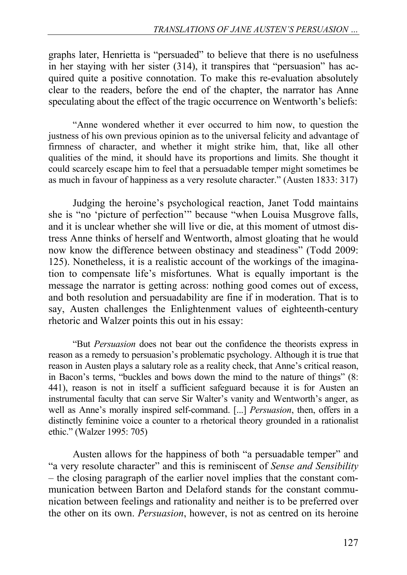graphs later, Henrietta is "persuaded" to believe that there is no usefulness in her staying with her sister (314), it transpires that "persuasion" has acquired quite a positive connotation. To make this re-evaluation absolutely clear to the readers, before the end of the chapter, the narrator has Anne speculating about the effect of the tragic occurrence on Wentworth's beliefs:

"Anne wondered whether it ever occurred to him now, to question the justness of his own previous opinion as to the universal felicity and advantage of firmness of character, and whether it might strike him, that, like all other qualities of the mind, it should have its proportions and limits. She thought it could scarcely escape him to feel that a persuadable temper might sometimes be as much in favour of happiness as a very resolute character." (Austen 1833: 317)

Judging the heroine's psychological reaction, Janet Todd maintains she is "no 'picture of perfection'" because "when Louisa Musgrove falls, and it is unclear whether she will live or die, at this moment of utmost distress Anne thinks of herself and Wentworth, almost gloating that he would now know the difference between obstinacy and steadiness" (Todd 2009: 125). Nonetheless, it is a realistic account of the workings of the imagination to compensate life's misfortunes. What is equally important is the message the narrator is getting across: nothing good comes out of excess, and both resolution and persuadability are fine if in moderation. That is to say, Austen challenges the Enlightenment values of eighteenth-century rhetoric and Walzer points this out in his essay:

"But *Persuasion* does not bear out the confidence the theorists express in reason as a remedy to persuasion's problematic psychology. Although it is true that reason in Austen plays a salutary role as a reality check, that Anne's critical reason, in Bacon's terms, "buckles and bows down the mind to the nature of things" (8: 441), reason is not in itself a sufficient safeguard because it is for Austen an instrumental faculty that can serve Sir Walter's vanity and Wentworth's anger, as well as Anne's morally inspired self-command. [...] *Persuasion*, then, offers in a distinctly feminine voice a counter to a rhetorical theory grounded in a rationalist ethic." (Walzer 1995: 705)

Austen allows for the happiness of both "a persuadable temper" and "a very resolute character" and this is reminiscent of *Sense and Sensibility* – the closing paragraph of the earlier novel implies that the constant communication between Barton and Delaford stands for the constant communication between feelings and rationality and neither is to be preferred over the other on its own. *Persuasion*, however, is not as centred on its heroine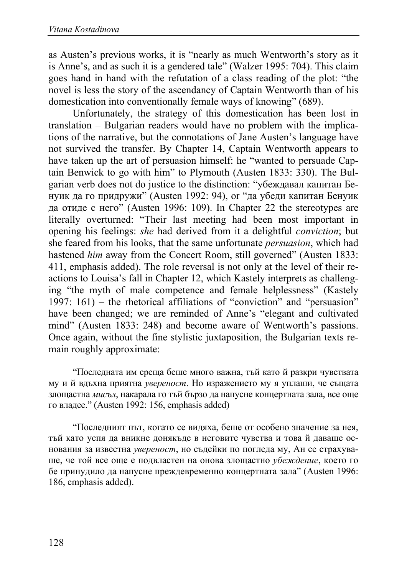as Austen's previous works, it is "nearly as much Wentworth's story as it is Anne's, and as such it is a gendered tale" (Walzer 1995: 704). This claim goes hand in hand with the refutation of a class reading of the plot: "the novel is less the story of the ascendancy of Captain Wentworth than of his domestication into conventionally female ways of knowing" (689).

Unfortunately, the strategy of this domestication has been lost in translation – Bulgarian readers would have no problem with the implications of the narrative, but the connotations of Jane Austen's language have not survived the transfer. By Chapter 14, Captain Wentworth appears to have taken up the art of persuasion himself: he "wanted to persuade Captain Benwick to go with him" to Plymouth (Austen 1833: 330). The Bulgarian verb does not do justice to the distinction: "убеждавал капитан Бенуик да го придружи" (Austen 1992: 94), or "да убеди капитан Бенуик да отиде с него" (Austen 1996: 109). In Chapter 22 the stereotypes are literally overturned: "Their last meeting had been most important in opening his feelings: *she* had derived from it a delightful *conviction*; but she feared from his looks, that the same unfortunate *persuasion*, which had hastened *him* away from the Concert Room, still governed" (Austen 1833: 411, emphasis added). The role reversal is not only at the level of their reactions to Louisa's fall in Chapter 12, which Kastely interprets as challenging "the myth of male competence and female helplessness" (Kastely 1997:  $161$ ) – the rhetorical affiliations of "conviction" and "persuasion" have been changed; we are reminded of Anne's "elegant and cultivated mind" (Austen 1833: 248) and become aware of Wentworth's passions. Once again, without the fine stylistic juxtaposition, the Bulgarian texts remain roughly approximate:

"Последната им среща беше много важна, тъй като й разкри чувствата му и й вдъхна приятна *увереност*. Но изражението му я уплаши, че същата злощастна *мисъл*, накарала го тъй бързо да напусне концертната зала, все още го владее." (Austen 1992: 156, emphasis added)

"Последният път, когато се видяха, беше от особено значение за нея, тъй като успя да вникне донякъде в неговите чувства и това й даваше основания за известна *увереност*, но съдейки по погледа му, Ан се страхуваше, че той все още е подвластен на онова злощастно *убеждение*, което го бе принудило да напусне преждевременно концертната зала" (Austen 1996: 186, emphasis added).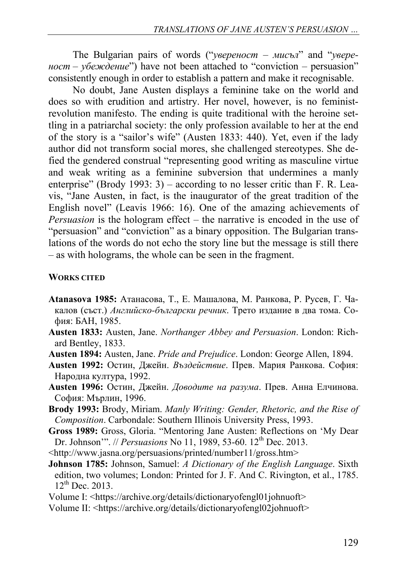The Bulgarian pairs of words ("*увереност* – *мисъл*" and "*увереност* – *убеждение*") have not been attached to "conviction – persuasion" consistently enough in order to establish a pattern and make it recognisable.

No doubt, Jane Austen displays a feminine take on the world and does so with erudition and artistry. Her novel, however, is no feministrevolution manifesto. The ending is quite traditional with the heroine settling in a patriarchal society: the only profession available to her at the end of the story is a "sailor's wife" (Austen 1833: 440). Yet, even if the lady author did not transform social mores, she challenged stereotypes. She defied the gendered construal "representing good writing as masculine virtue and weak writing as a feminine subversion that undermines a manly enterprise" (Brody 1993: 3) – according to no lesser critic than F. R. Leavis, "Jane Austen, in fact, is the inaugurator of the great tradition of the English novel" (Leavis 1966: 16). One of the amazing achievements of *Persuasion* is the hologram effect – the narrative is encoded in the use of "persuasion" and "conviction" as a binary opposition. The Bulgarian translations of the words do not echo the story line but the message is still there – as with holograms, the whole can be seen in the fragment.

## **WORKS CITED**

- **Atanasova 1985:** Атанасова, Т., Е. Машалова, М. Ранкова, Р. Русев, Г. Чакалов (съст.) *Английско-български речник*. Трето издание в два тома. София: БАН, 1985.
- **Austen 1833:** Austen, Jane. *Northanger Abbey and Persuasion*. London: Richard Bentley, 1833.
- **Austen 1894:** Austen, Jane. *Pride and Prejudice*. London: George Allen, 1894.
- **Austen 1992:** Остин, Джейн. *Въздействие*. Прев. Мария Ранкова. София: Народна култура, 1992.
- **Austen 1996:** Остин, Джейн. *Доводите на разума*. Прев. Анна Елчинова. София: Мърлин, 1996.
- **Brody 1993:** Brody, Miriam. *Manly Writing: Gender, Rhetoric, and the Rise of Composition*. Carbondale: Southern Illinois University Press, 1993.
- **Gross 1989:** Gross, Gloria. "Mentoring Jane Austen: Reflections on 'My Dear Dr. Johnson'". // *Persuasions* No 11, 1989, 53-60. 12<sup>th</sup> Dec. 2013.
- <http://www.jasna.org/persuasions/printed/number11/gross.htm>
- **Johnson 1785:** Johnson, Samuel: *A Dictionary of the English Language*. Sixth edition, two volumes; London: Printed for J. F. And C. Rivington, et al., 1785. 12<sup>th</sup> Dec. 2013.
- Volume I: <https://archive.org/details/dictionaryofengl01johnuoft>
- Volume II: <https://archive.org/details/dictionaryofengl02johnuoft>